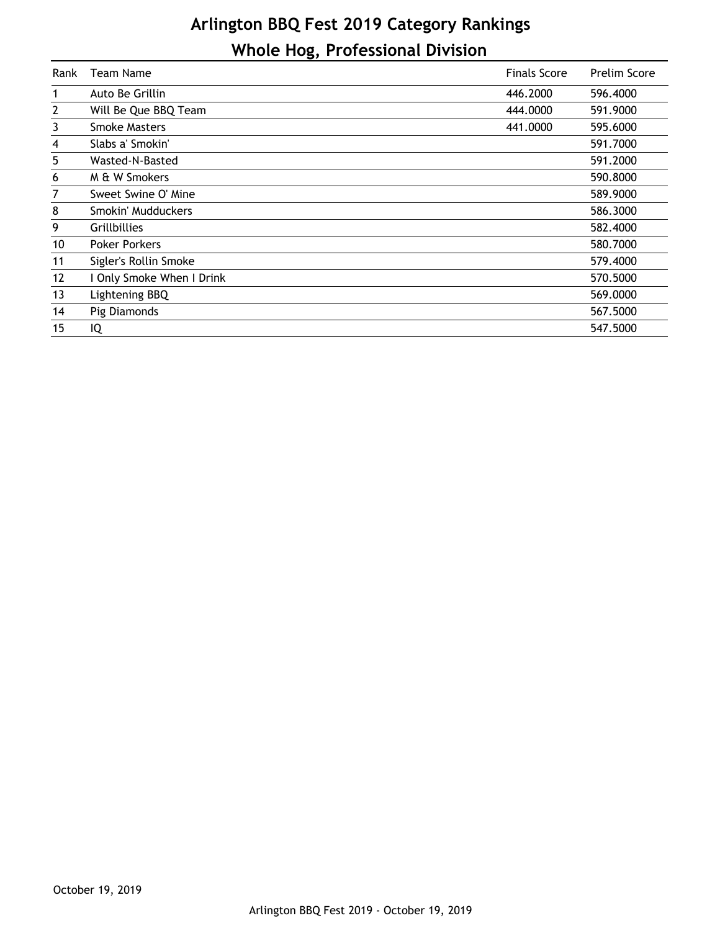## **Arlington BBQ Fest 2019 Category Rankings Whole Hog, Professional Division**

| Rank         | <b>Team Name</b>          | <b>Finals Score</b> | Prelim Score |
|--------------|---------------------------|---------------------|--------------|
| 1            | Auto Be Grillin           | 446.2000            | 596.4000     |
| $\mathbf{2}$ | Will Be Que BBQ Team      | 444.0000            | 591.9000     |
| 3            | <b>Smoke Masters</b>      | 441,0000            | 595.6000     |
| 4            | Slabs a' Smokin'          |                     | 591.7000     |
| 5            | Wasted-N-Basted           |                     | 591.2000     |
| 6            | M & W Smokers             |                     | 590.8000     |
| 7            | Sweet Swine O' Mine       |                     | 589.9000     |
| 8            | Smokin' Mudduckers        |                     | 586.3000     |
| 9            | <b>Grillbillies</b>       |                     | 582,4000     |
| 10           | <b>Poker Porkers</b>      |                     | 580.7000     |
| 11           | Sigler's Rollin Smoke     |                     | 579.4000     |
| 12           | I Only Smoke When I Drink |                     | 570.5000     |
| 13           | Lightening BBQ            |                     | 569,0000     |
| 14           | Pig Diamonds              |                     | 567.5000     |
| 15           | IQ                        |                     | 547.5000     |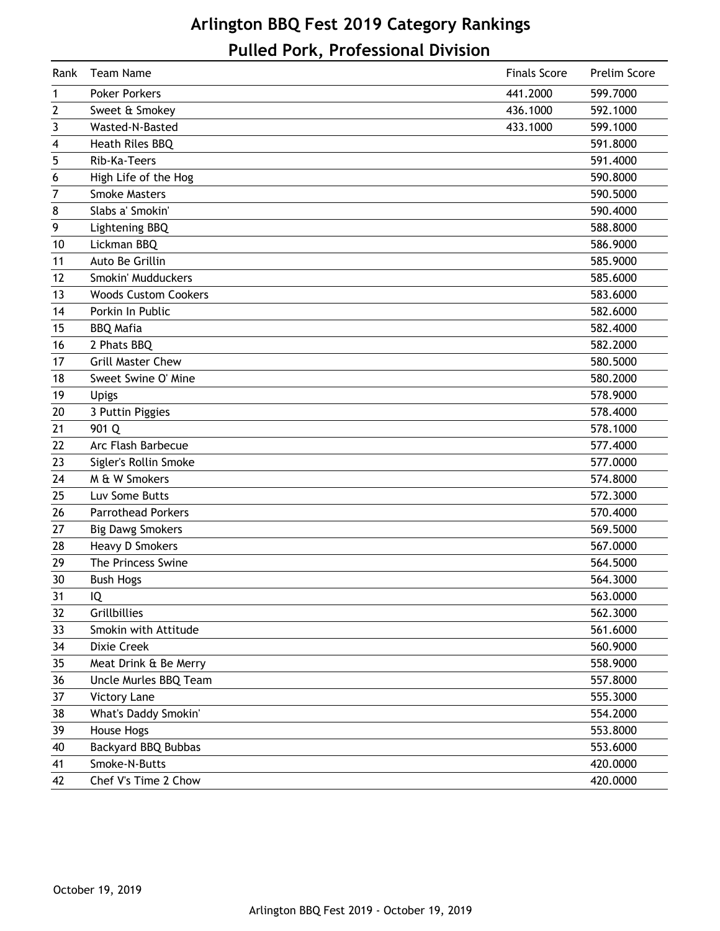## **Arlington BBQ Fest 2019 Category Rankings Pulled Pork, Professional Division**

| Rank | Team Name                   | <b>Finals Score</b> | Prelim Score |
|------|-----------------------------|---------------------|--------------|
| 1    | <b>Poker Porkers</b>        | 441.2000            | 599.7000     |
| 2    | Sweet & Smokey              | 436.1000            | 592.1000     |
| 3    | Wasted-N-Basted             | 433.1000            | 599.1000     |
| 4    | Heath Riles BBQ             |                     | 591.8000     |
| 5    | Rib-Ka-Teers                |                     | 591.4000     |
| 6    | High Life of the Hog        |                     | 590.8000     |
| 7    | <b>Smoke Masters</b>        |                     | 590.5000     |
| 8    | Slabs a' Smokin'            |                     | 590.4000     |
| 9    | Lightening BBQ              |                     | 588.8000     |
| 10   | Lickman BBQ                 |                     | 586.9000     |
| 11   | Auto Be Grillin             |                     | 585.9000     |
| 12   | Smokin' Mudduckers          |                     | 585.6000     |
| 13   | <b>Woods Custom Cookers</b> |                     | 583.6000     |
| 14   | Porkin In Public            |                     | 582.6000     |
| 15   | <b>BBQ Mafia</b>            |                     | 582.4000     |
| 16   | 2 Phats BBQ                 |                     | 582.2000     |
| 17   | <b>Grill Master Chew</b>    |                     | 580.5000     |
| 18   | Sweet Swine O' Mine         |                     | 580.2000     |
| 19   | <b>Upigs</b>                |                     | 578.9000     |
| 20   | 3 Puttin Piggies            |                     | 578.4000     |
| 21   | 901 Q                       |                     | 578.1000     |
| 22   | Arc Flash Barbecue          |                     | 577.4000     |
| 23   | Sigler's Rollin Smoke       |                     | 577.0000     |
| 24   | M & W Smokers               |                     | 574.8000     |
| 25   | Luv Some Butts              |                     | 572.3000     |
| 26   | <b>Parrothead Porkers</b>   |                     | 570.4000     |
| 27   | <b>Big Dawg Smokers</b>     |                     | 569.5000     |
| 28   | <b>Heavy D Smokers</b>      |                     | 567.0000     |
| 29   | The Princess Swine          |                     | 564.5000     |
| 30   | <b>Bush Hogs</b>            |                     | 564.3000     |
| 31   | IQ                          |                     | 563.0000     |
| 32   | Grillbillies                |                     | 562.3000     |
| 33   | Smokin with Attitude        |                     | 561.6000     |
| 34   | Dixie Creek                 |                     | 560.9000     |
| 35   | Meat Drink & Be Merry       |                     | 558.9000     |
| 36   | Uncle Murles BBQ Team       |                     | 557.8000     |
| 37   | <b>Victory Lane</b>         |                     | 555.3000     |
| 38   | What's Daddy Smokin'        |                     | 554.2000     |
| 39   | House Hogs                  |                     | 553.8000     |
| 40   | <b>Backyard BBQ Bubbas</b>  |                     | 553.6000     |
| 41   | Smoke-N-Butts               |                     | 420.0000     |
| 42   | Chef V's Time 2 Chow        |                     | 420.0000     |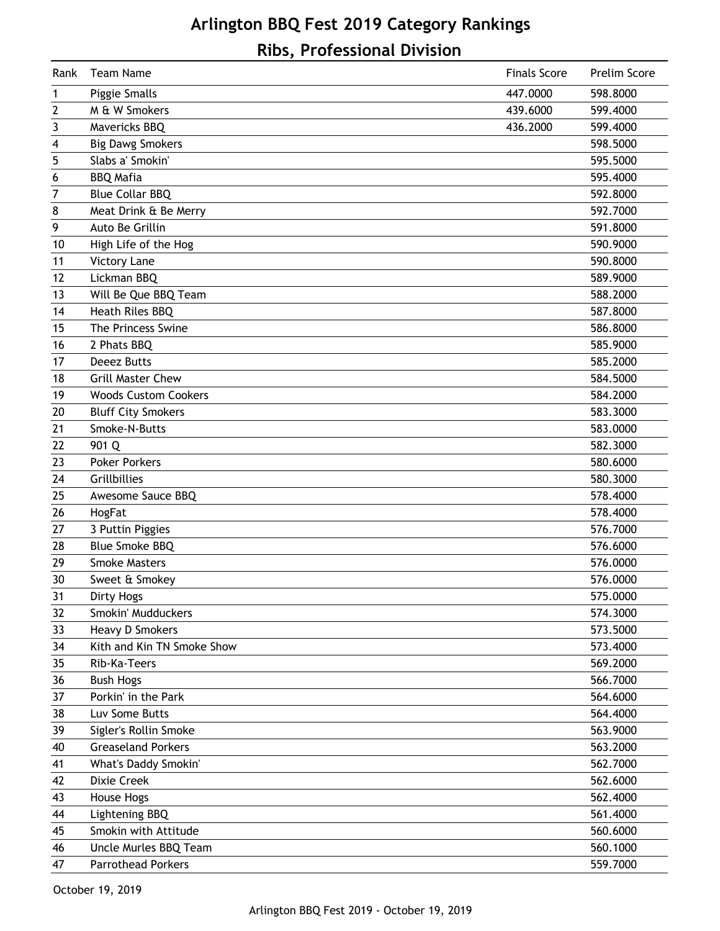## **Arlington BBQ Fest 2019 Category Rankings Ribs, Professional Division**

| <b>Team Name</b><br><b>Finals Score</b><br>Rank | Prelim Score |
|-------------------------------------------------|--------------|
| Piggie Smalls<br>447.0000<br>1                  | 598.8000     |
| M & W Smokers<br>2<br>439.6000                  | 599.4000     |
| 3<br>Mavericks BBQ<br>436.2000                  | 599.4000     |
| <b>Big Dawg Smokers</b><br>4                    | 598.5000     |
| 5<br>Slabs a' Smokin'                           | 595.5000     |
| <b>BBQ Mafia</b><br>6                           | 595.4000     |
| $\overline{7}$<br><b>Blue Collar BBQ</b>        | 592.8000     |
| Meat Drink & Be Merry<br>8                      | 592.7000     |
| 9<br>Auto Be Grillin                            | 591.8000     |
| High Life of the Hog<br>10                      | 590.9000     |
| <b>Victory Lane</b><br>11                       | 590.8000     |
| Lickman BBQ<br>12                               | 589.9000     |
| Will Be Que BBQ Team<br>13                      | 588.2000     |
| <b>Heath Riles BBQ</b><br>14                    | 587.8000     |
| 15<br>The Princess Swine                        | 586.8000     |
| 2 Phats BBQ<br>16                               | 585.9000     |
| <b>Deeez Butts</b><br>17                        | 585.2000     |
| <b>Grill Master Chew</b><br>18                  | 584.5000     |
| 19<br><b>Woods Custom Cookers</b>               | 584.2000     |
| <b>Bluff City Smokers</b><br>20                 | 583.3000     |
| 21<br>Smoke-N-Butts                             | 583.0000     |
| 901 Q<br>22                                     | 582.3000     |
| <b>Poker Porkers</b><br>23                      | 580.6000     |
| 24<br>Grillbillies                              | 580.3000     |
| 25<br>Awesome Sauce BBQ                         | 578.4000     |
| 26<br>HogFat                                    | 578.4000     |
| 3 Puttin Piggies<br>27                          | 576.7000     |
| <b>Blue Smoke BBQ</b><br>28                     | 576.6000     |
| 29<br><b>Smoke Masters</b>                      | 576.0000     |
| 30<br>Sweet & Smokey                            | 576.0000     |
| 31<br><b>Dirty Hogs</b>                         | 575.0000     |
| Smokin' Mudduckers<br>32                        | 574.3000     |
| <b>Heavy D Smokers</b><br>33                    | 573.5000     |
| Kith and Kin TN Smoke Show<br>34                | 573.4000     |
| Rib-Ka-Teers<br>35                              | 569.2000     |
| 36<br><b>Bush Hogs</b>                          | 566.7000     |
| Porkin' in the Park<br>37                       | 564.6000     |
| Luv Some Butts<br>38                            | 564.4000     |
| Sigler's Rollin Smoke<br>39                     | 563.9000     |
| <b>Greaseland Porkers</b><br>40                 | 563.2000     |
| What's Daddy Smokin'<br>41                      | 562.7000     |
| Dixie Creek<br>42                               | 562.6000     |
| House Hogs<br>43                                | 562.4000     |
| Lightening BBQ<br>44                            | 561.4000     |
| Smokin with Attitude<br>45                      | 560.6000     |
| Uncle Murles BBQ Team<br>46                     | 560.1000     |
| <b>Parrothead Porkers</b><br>47                 | 559.7000     |

October 19, 2019